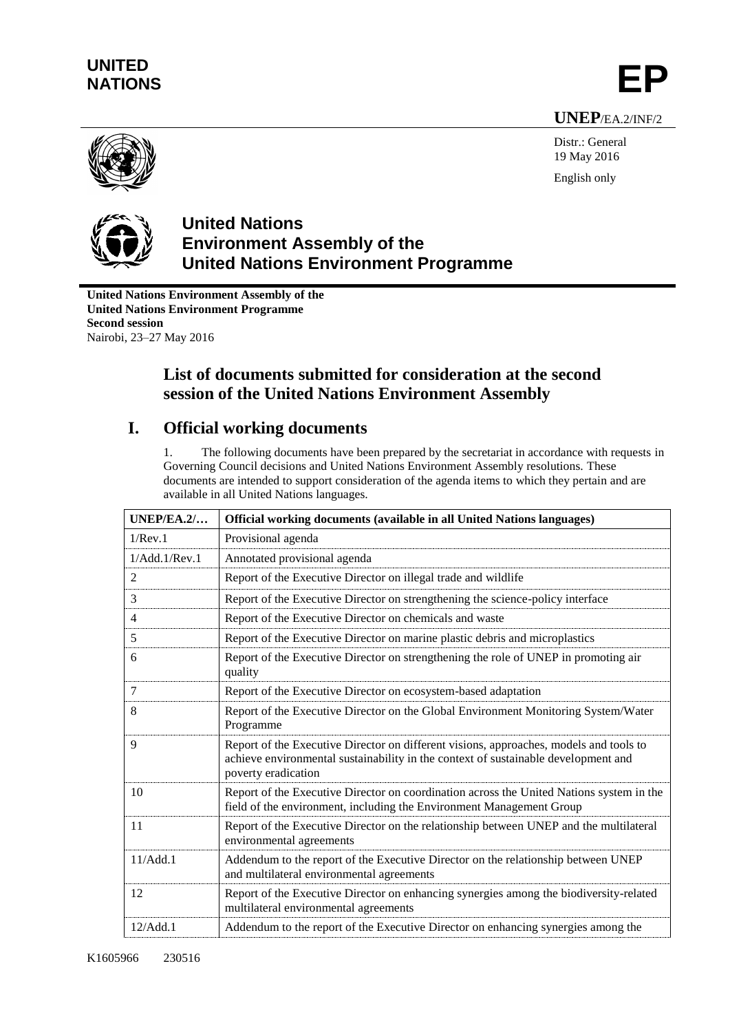# **UNITED** UNILED<br>NATIONS **EP**

**UNEP**/EA.2/INF/2



Distr.: General 19 May 2016 English only



### **United Nations Environment Assembly of the United Nations Environment Programme**

**United Nations Environment Assembly of the United Nations Environment Programme Second session** Nairobi, 23–27 May 2016

## **List of documents submitted for consideration at the second session of the United Nations Environment Assembly**

## **I. Official working documents**

1. The following documents have been prepared by the secretariat in accordance with requests in Governing Council decisions and United Nations Environment Assembly resolutions. These documents are intended to support consideration of the agenda items to which they pertain and are available in all United Nations languages.

| UNEP/EA.2/    | Official working documents (available in all United Nations languages)                                                                                                                              |
|---------------|-----------------------------------------------------------------------------------------------------------------------------------------------------------------------------------------------------|
| 1/Rev.1       | Provisional agenda                                                                                                                                                                                  |
| 1/Add.1/Rev.1 | Annotated provisional agenda                                                                                                                                                                        |
| 2             | Report of the Executive Director on illegal trade and wildlife                                                                                                                                      |
| 3             | Report of the Executive Director on strengthening the science-policy interface                                                                                                                      |
| 4             | Report of the Executive Director on chemicals and waste                                                                                                                                             |
| 5             | Report of the Executive Director on marine plastic debris and microplastics                                                                                                                         |
| 6             | Report of the Executive Director on strengthening the role of UNEP in promoting air<br>quality                                                                                                      |
| 7             | Report of the Executive Director on ecosystem-based adaptation                                                                                                                                      |
| 8             | Report of the Executive Director on the Global Environment Monitoring System/Water<br>Programme                                                                                                     |
| 9             | Report of the Executive Director on different visions, approaches, models and tools to<br>achieve environmental sustainability in the context of sustainable development and<br>poverty eradication |
| 10            | Report of the Executive Director on coordination across the United Nations system in the<br>field of the environment, including the Environment Management Group                                    |
| 11            | Report of the Executive Director on the relationship between UNEP and the multilateral<br>environmental agreements                                                                                  |
| 11/Add.1      | Addendum to the report of the Executive Director on the relationship between UNEP<br>and multilateral environmental agreements                                                                      |
| 12            | Report of the Executive Director on enhancing synergies among the biodiversity-related<br>multilateral environmental agreements                                                                     |
| 12/Add.1      | Addendum to the report of the Executive Director on enhancing synergies among the                                                                                                                   |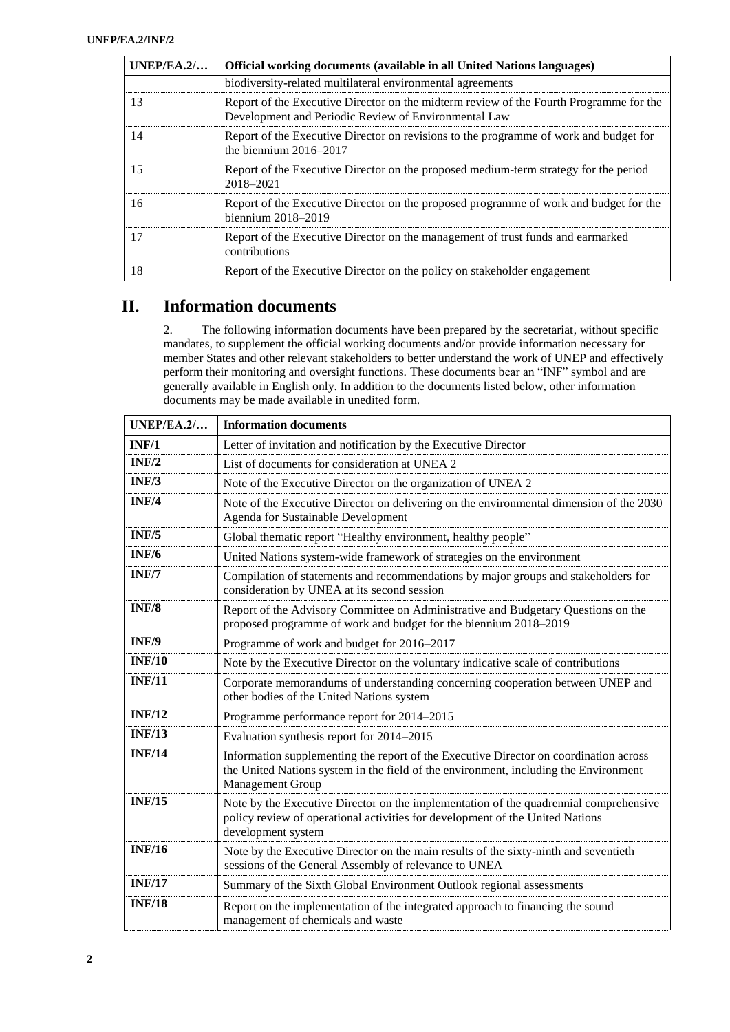| UNEP/EA.2/ | Official working documents (available in all United Nations languages)                                                                         |
|------------|------------------------------------------------------------------------------------------------------------------------------------------------|
|            | biodiversity-related multilateral environmental agreements                                                                                     |
| 13         | Report of the Executive Director on the midterm review of the Fourth Programme for the<br>Development and Periodic Review of Environmental Law |
| 14         | Report of the Executive Director on revisions to the programme of work and budget for<br>the biennium $2016-2017$                              |
| 15         | Report of the Executive Director on the proposed medium-term strategy for the period<br>2018-2021                                              |
| 16         | Report of the Executive Director on the proposed programme of work and budget for the<br>biennium $2018-2019$                                  |
| 17         | Report of the Executive Director on the management of trust funds and earmarked<br>contributions                                               |
| 18         | Report of the Executive Director on the policy on stakeholder engagement                                                                       |

#### **II. Information documents**

2. The following information documents have been prepared by the secretariat, without specific mandates, to supplement the official working documents and/or provide information necessary for member States and other relevant stakeholders to better understand the work of UNEP and effectively perform their monitoring and oversight functions. These documents bear an "INF" symbol and are generally available in English only. In addition to the documents listed below, other information documents may be made available in unedited form.

| UNEP/EA.2/    | <b>Information documents</b>                                                                                                                                                                      |
|---------------|---------------------------------------------------------------------------------------------------------------------------------------------------------------------------------------------------|
| INF/1         | Letter of invitation and notification by the Executive Director                                                                                                                                   |
| INF/2         | List of documents for consideration at UNEA 2                                                                                                                                                     |
| INF/3         | Note of the Executive Director on the organization of UNEA 2                                                                                                                                      |
| INF/4         | Note of the Executive Director on delivering on the environmental dimension of the 2030<br>Agenda for Sustainable Development                                                                     |
| INF/5         | Global thematic report "Healthy environment, healthy people"                                                                                                                                      |
| INF/6         | United Nations system-wide framework of strategies on the environment                                                                                                                             |
| INF/7         | Compilation of statements and recommendations by major groups and stakeholders for<br>consideration by UNEA at its second session                                                                 |
| INF/8         | Report of the Advisory Committee on Administrative and Budgetary Questions on the<br>proposed programme of work and budget for the biennium 2018–2019                                             |
| INF/9         | Programme of work and budget for 2016–2017                                                                                                                                                        |
| <b>INF/10</b> | Note by the Executive Director on the voluntary indicative scale of contributions                                                                                                                 |
| <b>INF/11</b> | Corporate memorandums of understanding concerning cooperation between UNEP and<br>other bodies of the United Nations system                                                                       |
| <b>INF/12</b> | Programme performance report for 2014-2015                                                                                                                                                        |
| <b>INF/13</b> | Evaluation synthesis report for 2014-2015                                                                                                                                                         |
| <b>INF/14</b> | Information supplementing the report of the Executive Director on coordination across<br>the United Nations system in the field of the environment, including the Environment<br>Management Group |
| <b>INF/15</b> | Note by the Executive Director on the implementation of the quadrennial comprehensive<br>policy review of operational activities for development of the United Nations<br>development system      |
| <b>INF/16</b> | Note by the Executive Director on the main results of the sixty-ninth and seventieth<br>sessions of the General Assembly of relevance to UNEA                                                     |
| <b>INF/17</b> | Summary of the Sixth Global Environment Outlook regional assessments                                                                                                                              |
| <b>INF/18</b> | Report on the implementation of the integrated approach to financing the sound<br>management of chemicals and waste                                                                               |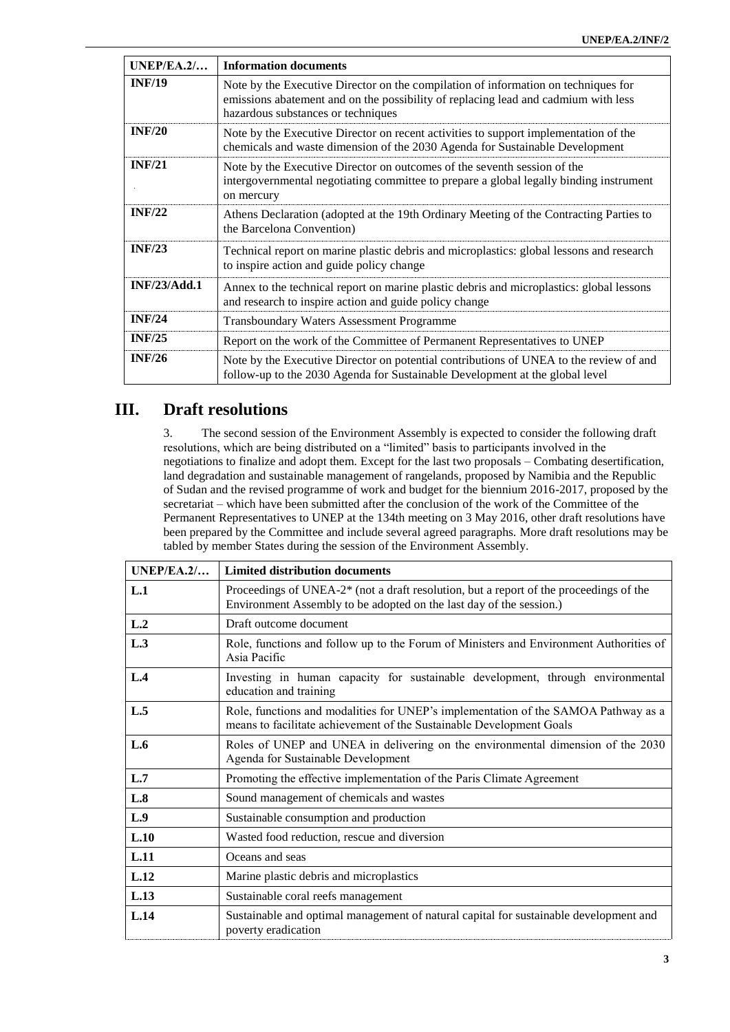| UNEP/EA.2/    | <b>Information documents</b>                                                                                                                                                                                   |
|---------------|----------------------------------------------------------------------------------------------------------------------------------------------------------------------------------------------------------------|
| <b>INF/19</b> | Note by the Executive Director on the compilation of information on techniques for<br>emissions abatement and on the possibility of replacing lead and cadmium with less<br>hazardous substances or techniques |
| INF/20        | Note by the Executive Director on recent activities to support implementation of the<br>chemicals and waste dimension of the 2030 Agenda for Sustainable Development                                           |
| <b>INF/21</b> | Note by the Executive Director on outcomes of the seventh session of the<br>intergovernmental negotiating committee to prepare a global legally binding instrument<br>on mercury                               |
| INF/22        | Athens Declaration (adopted at the 19th Ordinary Meeting of the Contracting Parties to<br>the Barcelona Convention)                                                                                            |
| INF/23        | Technical report on marine plastic debris and microplastics: global lessons and research<br>to inspire action and guide policy change                                                                          |
| INF/23/Add.1  | Annex to the technical report on marine plastic debris and microplastics: global lessons<br>and research to inspire action and guide policy change                                                             |
| INF/24        | Transboundary Waters Assessment Programme                                                                                                                                                                      |
| INF/25        | Report on the work of the Committee of Permanent Representatives to UNEP                                                                                                                                       |
| INF/26        | Note by the Executive Director on potential contributions of UNEA to the review of and<br>follow-up to the 2030 Agenda for Sustainable Development at the global level                                         |

#### **III. Draft resolutions**

3. The second session of the Environment Assembly is expected to consider the following draft resolutions, which are being distributed on a "limited" basis to participants involved in the negotiations to finalize and adopt them. Except for the last two proposals – Combating desertification, land degradation and sustainable management of rangelands, proposed by Namibia and the Republic of Sudan and the revised programme of work and budget for the biennium 2016-2017, proposed by the secretariat – which have been submitted after the conclusion of the work of the Committee of the Permanent Representatives to UNEP at the 134th meeting on 3 May 2016, other draft resolutions have been prepared by the Committee and include several agreed paragraphs. More draft resolutions may be tabled by member States during the session of the Environment Assembly.

| UNEP/EA.2/ | <b>Limited distribution documents</b>                                                                                                                                     |
|------------|---------------------------------------------------------------------------------------------------------------------------------------------------------------------------|
| L.1        | Proceedings of UNEA-2 <sup>*</sup> (not a draft resolution, but a report of the proceedings of the<br>Environment Assembly to be adopted on the last day of the session.) |
| L.2        | Draft outcome document                                                                                                                                                    |
| L.3        | Role, functions and follow up to the Forum of Ministers and Environment Authorities of<br>Asia Pacific                                                                    |
| L.4        | Investing in human capacity for sustainable development, through environmental<br>education and training                                                                  |
| L.5        | Role, functions and modalities for UNEP's implementation of the SAMOA Pathway as a<br>means to facilitate achievement of the Sustainable Development Goals                |
| L.6        | Roles of UNEP and UNEA in delivering on the environmental dimension of the 2030<br>Agenda for Sustainable Development                                                     |
| L.7        | Promoting the effective implementation of the Paris Climate Agreement                                                                                                     |
| L.8        | Sound management of chemicals and wastes                                                                                                                                  |
| L.9        | Sustainable consumption and production                                                                                                                                    |
| L.10       | Wasted food reduction, rescue and diversion                                                                                                                               |
| L.11       | Oceans and seas                                                                                                                                                           |
| L.12       | Marine plastic debris and microplastics                                                                                                                                   |
| L.13       | Sustainable coral reefs management                                                                                                                                        |
| L.14       | Sustainable and optimal management of natural capital for sustainable development and<br>poverty eradication                                                              |